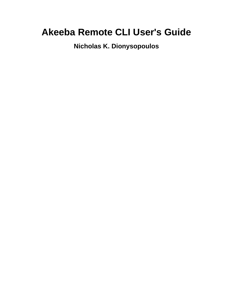# **Akeeba Remote CLI User's Guide**

**Nicholas K. Dionysopoulos**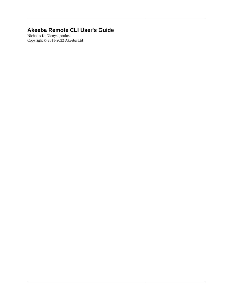### **Akeeba Remote CLI User's Guide**

Nicholas K. Dionysopoulos Copyright © 2011-2022 Akeeba Ltd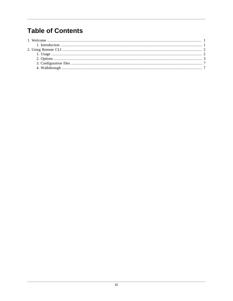### **Table of Contents**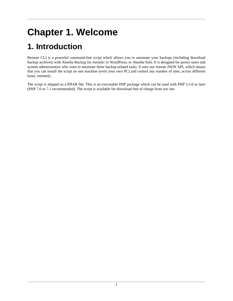# <span id="page-3-0"></span>**Chapter 1. Welcome**

## <span id="page-3-1"></span>**1. Introduction**

Remote CLI is a powerful command-line script which allows you to automate your backups (including download backup archives) with Akeeba Backup for Joomla! or WordPress; or Akeeba Solo. It is designed for power users and system administrators who want to automate these backup-related tasks. It uses our remote JSON API, which means that you can install the script on one machine (even your own PC) and control any number of sites, across different hosts, remotely.

The script is shipped as a PHAR file. This is an executable PHP package which can be used with PHP 5.5.0 or later (PHP 7.0 or 7.1 recommended). The script is available for download free of charge from our site.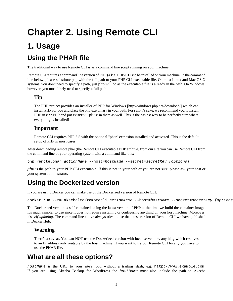# <span id="page-4-0"></span>**Chapter 2. Using Remote CLI**

## <span id="page-4-1"></span>**1. Usage**

### **Using the PHAR file**

The traditional way to use Remote CLI is as a command line script running on your machine.

Remote CLI requires a command line version of PHP (a.k.a. PHP-CLI) to be installed on your machine. In the command line below, please substitute php with the full path to your PHP CLI executable file. On most Linux and Mac OS X systems, you don't need to specify a path, just **php** will do as the executable file is already in the path. On Windows, however, you most likely need to specify a full path.

#### **Tip**

The PHP project provides [an installer of PHP for Windows \[http://windows.php.net/download/](http://windows.php.net/download/)] which can install PHP for you and place the php.exe binary in your path. For sanity's sake, we recommend you to install PHP in  $c:\P$  PHP and put remote. phar in there as well. This is the easiest way to be perfectly sure where everything is installed!

#### **Important**

Remote CLI requires PHP 5.5 with the optional "phar" extension installed and activated. This is the default setup of PHP in most cases.

After downloading remote.phar (the Remote CLI executable PHP archive) from our site you can use Remote CLI from the command line of your operating system with a command like this:

php remote.phar actionName --host=hostName --secret=secretKey [options]

php is the path to your PHP CLI executable. If this is not in your path or you are not sure, please ask your host or your system administrator.

### **Using the Dockerized version**

If you are using Docker you can make use of the Dockerized version of Remote CLI:

```
docker run --rm akeebaltd/remotecli actionName --host=hostName --secret=secretKey [options
```
The Dockerized version is self-contained, using the latest version of PHP at the time we build the container image. It's much simpler to use since it does not require installing or configuring anything on your host machine. Moreover, it's *self-updating*. The command line above always tries to use the latest version of Remote CLI we have published in Docker Hub.

#### **Warning**

There's a caveat. You can NOT use the Dockerized version with local servers i.e. anything which resolves to an IP address only routable by the host machine. If you want to try our Remote CLI locally you have to use the PHAR file.

### **What are all these options?**

hostName is the URL to your site's root, without a trailing slash, e.g. http://www.example.com. If you are using Akeeba Backup for WordPress the hostName must also include the path to Akeeba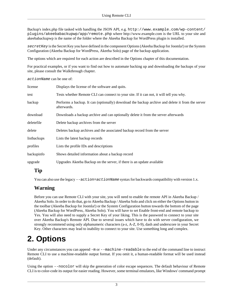Backup's index.php file tasked with handling the JSON API, e.g. http://www.example.com/wp-content/ plugins/akeebabackupwp/app/remote.php where http://www.example.com is the URL to your site and akeebabackupwp is the name of the folder where the Akeeba Backup for WordPress plugin is installed.

secretKey is the Secret Key you have defined in the component Options (Akeeba Backup for Joomla!) or the System Configuration (Akeeba Backup for WordPress, Akeeba Solo) page of the backup application.

The options which are required for each action are described in the [Options](#page-5-0) chapter of this documentation.

For practical examples, or if you want to find out how to automate backing up and downloading the backups of your site, please consult the [Walkthrough](#page-9-1) chapter.

actionName can be one of:

| license     | Displays the license of the software and quits.                                                                 |
|-------------|-----------------------------------------------------------------------------------------------------------------|
| test        | Tests whether Remote CLI can connect to your site. If it can not, it will tell you why.                         |
| backup      | Performs a backup. It can (optionally) download the backup archive and delete it from the server<br>afterwards. |
| download    | Downloads a backup archive and can optionally delete it from the server afterwards                              |
| deletefile  | Delete backup archives from the server                                                                          |
| delete      | Deletes backup archives and the associated backup record from the server                                        |
| listbackups | Lists the latest backup records                                                                                 |
| profiles    | Lists the profile IDs and descriptions                                                                          |
| backupinfo  | Shows detailed information about a backup record                                                                |
| upgrade     | Upgrades Akeeba Backup on the server, if there is an update available                                           |

#### **Tip**

You can also use the legacy  $-\text{action}=\text{action}N$  ame syntax for backwards compatibility with version 1.x.

#### **Warning**

Before you can use Remote CLI with your site, you will need to enable the remote API in Akeeba Backup / Akeeba Solo. In order to do that, go to Akeeba Backup / Akeeba Solo and click on either the Options button in the toolbar (Akeeba Backup for Joomla!) or the System Configuration button towards the bottom of the page (Akeeba Backup for WordPress, Akeeba Solo). You will have to set Enable front-end and remote backup to Yes. You will also need to supply a Secret Key of your liking. This is the password to connect to your site over Akeeba Backup's Remote API. Due to several issues which have to do with server configuration, we strongly recommend using only alphanumeric characters (a-z, A-Z, 0-9), dash and underscore in your Secret Key. Other characters may lead to inability to connect to your site. Use something long and complex.

## <span id="page-5-0"></span>**2. Options**

Under any circumstances you can append  $-m$  or  $-m$  achine-readable to the end of the command line to instruct Remote CLI to use a machine-readable output format. If you omit it, a human-readable format will be used instead (default).

Using the option --nocolor will skip the generation of color escape sequences. The default behaviour of Remote CLI is to color-code its output for easier reading. However, some terminal emulators, like Windows' command prompt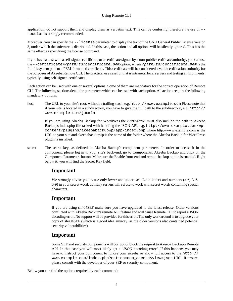application, do not support them and display them as verbatim text. This can be confusing, therefore the use of - nocolor is strongly recommended.

Moreover, you can specify the --license parameter to display the text of the GNU General Public License version 3, under which the software is distributed. In this case, the action and all options will be silently ignored. This has the same effect as specifying the license command.

If you have a host with a self-signed certificate, or a certificate signed by a non-public certificate authority, you can use the --certificate=/path/to/certificate.pem option, where /path/to/certificate.pem is the full filesystem path to a PEM-formatted certificate. This certificate will be considered a valid certification authority for the purposes of Akeeba Remote CLI. The practical use case for that is intranets, local servers and testing environments, typically using self-signed certificates.

Each action can be used with one or several options. Some of them are mandatory for the correct operation of Remote CLI. The following sections detail the parameters which can be used with each option. All actions require the following mandatory options:

host The URL to your site's root, without a trailing slash, e.g. http://www.example.com Please note that if your site is located in a subdirectory, you have to give the full path to the subdirectory, e.g. http:// www.example.com/joomla

If you are using Akeeba Backup for WordPress the hostName must also include the path to Akeeba Backup's index.php file tasked with handling the JSON API, e.g. http://www.example.com/wpcontent/plugins/akeebabackupwp/app/index.php where http://www.example.com is the URL to your site and akeebabackupwp is the name of the folder where the Akeeba Backup for WordPress plugin is installed.

secret The secret key, as defined in Akeeba Backup's component parameters. In order to access it in the component, please log in to your site's back-end, go to Components, Akeeba Backup and click on the Component Parameters button. Make sure the Enable front-end and remote backup option is enabled. Right below it, you will find the Secret Key field.

#### **Important**

We strongly advise you to use only lower and upper case Latin letters and numbers (a-z, A-Z, 0-9) in your secret word, as many servers will refuse to work with secret words containing special characters.

#### **Important**

If you are using sh404SEF make sure you have upgraded to the latest release. Older versions conflicted with Akeeba Backup's remote API feature and will cause Remote CLI to report a JSON decoding error. No support will be provided for this error. The only workaround is to upgrade your copy of sh404SEF (which is a good idea anyway, as the older versions also contained potential security vulnerabilities).

#### **Important**

Some SEF and security components will corrupt or block the request to Akeeba Backup's Remote API. In this case you will most likely get a "JSON decoding error". If this happens you may have to instruct your component to ignore com akeeba or allow full access to the http:// www.example.com/index.php?option=com\_akeeba&view=json URL. If unsure, please consult with the developer of your SEF or security component.

Below you can find the options required by each command: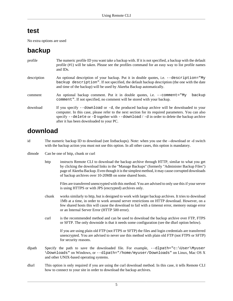#### **test**

No extra options are used

### **backup**

| profile     | The numeric profile ID you want take a backup with. If it is not specified, a backup with the default<br>profile $(\#1)$ will be taken. Please see the profiles command for an easy way to list profile names<br>and ID <sub>s</sub> .                                                                                                       |
|-------------|----------------------------------------------------------------------------------------------------------------------------------------------------------------------------------------------------------------------------------------------------------------------------------------------------------------------------------------------|
| description | An optional description of your backup. Put it in double quotes, i.e. $-\text{description} = "My"$<br>backup description". If not specified, the default backup description (the one with the date<br>and time of the backup) will be used by Akeeba Backup automatically.                                                                   |
| comment     | An optional backup comment. Put it in double quotes, i.e. $-\infty$ comment = "My<br>backup<br>comment". If not specified, no comment will be stored with your backup.                                                                                                                                                                       |
| download    | If you specify --download or -d, the produced backup archive will be downloaded to your<br>computer. In this case, please refer to the next section for its required parameters. You can also<br>specify --delete or -D together with $-$ -download $/$ -d in order to delete the backup archive<br>after it has been downloaded to your PC. |

### **download**

- id The numeric backup ID to download (see listbackups). Note: when you use the --download or -d switch with the backup action you must not use this option. In all other cases, this option is mandatory.
- dlmode Can be one of http, chunk or curl
	- http instructs Remote CLI to download the backup archive through HTTP, similar to what you get by clicking the download links in the "Manage Backups" (formerly "Administer Backup Files") page of Akeeba Backup. Even though it is the simplest method, it may cause corrupted downloads of backup archives over 10-20MB on some shared hosts.

Files are transferred unencrypted with this method. You are advised to only use this if your server is using HTTPS or with JPS (encrypted) archives only.

- chunk works similarly to http, but is designed to work with larger backup archives. It tries to download 1Mb at a time, in order to work around server restrictions on HTTP download. However, on a few shared hosts this will cause the download to fail with a timeout error, memory outage error or an Internal Server Error (HTTP 500 error).
- curl is the recommended method and can be used to download the backup archive over FTP, FTPS or SFTP. The only downside is that it needs some configuration (see the dlurl option below).

If you are using plain old FTP (not FTPS or SFTP) the files and login credentials are transferred unencrypted. You are advised to never use this method with plain old FTP (not FTPS or SFTP) for security reasons.

- dlpath Specify the path to save the downloaded file. For example, --dlpath="c:\User\Myuser \Downloads" on Windows, or --dlpath="/home/myuser/Downloads" on Linux, Mac OS X and other UNIX-based operating systems.
- dlurl This option is only required if you are using the curl download method. In this case, it tells Remote CLI how to connect to your site in order to download the backup archives.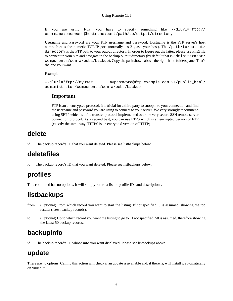If you are using FTP, you have to specify something like --dlurl="ftp:// username:password@hostname:port/path/to/output/directory

Username and Password are your FTP username and password. Hostname is the FTP server's host name. Port is the numeric TCP/IP port (normally it's 21, ask your host). The /path/to/output/ directory is the FTP path to your output directory. In order to figure out the latter, please use FileZilla to connect to your site and navigate to the backup output directory (by default that is administrator/ components/com\_akeeba/backup). Copy the path shown above the right-hand folders pane. That's the one you want.

Example:

```
--dlurl="ftp://myuser: mypassword@ftp.example.com:21/public_html/
administrator/components/com_akeeba/backup
```
#### **Important**

FTP is an unencrypted protocol. It is trivial for a third party to snoop into your connection and find the username and password you are using to connect to your server. We very strongly recommend using SFTP which is a file transfer protocol implemented over the very secure SSH remote server connection protocol. As a second best, you can use FTPS which is an encrypted version of FTP (exactly the same way HTTPS is an encrypted version of HTTP).

### **delete**

id The backup record's ID that you want deleted. Please see listbackups below.

### **deletefiles**

id The backup record's ID that you want deleted. Please see listbackups below.

### **profiles**

This command has no options. It will simply return a list of profile IDs and descriptions.

### **listbackups**

- from (Optional) From which record you want to start the listing. If not specified, 0 is assumed, showing the top results (latest backup records).
- to (Optional) Up to which record you want the listing to go to. If not specified, 50 is assumed, therefore showing the latest 50 backup records.

### **backupinfo**

id The backup record's ID whose info you want displayed. Please see listbackups above.

### **update**

There are no options. Calling this action will check if an update is available and, if there is, will install it automatically on your site.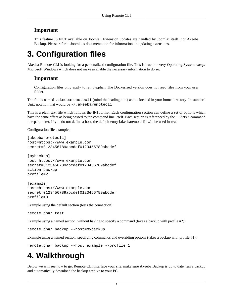#### **Important**

This feature IS NOT available on Joomla!. Extension updates are handled by Joomla! itself, not Akeeba Backup. Please refer to Joomla!'s documentation for information on updating extensions.

## <span id="page-9-0"></span>**3. Configuration files**

Akeeba Remote CLI is looking for a personalized configuration file. This is true on every Operating System *except* Microsoft Windows which does not make available the necessary information to do so.

#### **Important**

Configuration files only apply to remote.phar. The Dockerized version does not read files from your user folder.

The file is named .akeebaremotecli (mind the leading dot!) and is located in your home directory. In standard Unix notation that would be  $\sim/$  . akeebaremotecli

This is a plain text file which follows the INI format. Each configuration section can define a set of options which have the same effect as being passed to the command line itself. Each section is referenced by the  $-\text{host}$  command line parameter. If you do not define a host, the default entry [akeebaremotecli] will be used instead.

Configuration file example:

```
[akeebaremotecli]
host=https://www.example.com
secret=0123456789abcdef0123456789abcdef
[mybackup]
host=https://www.example.com
secret=0123456789abcdef0123456789abcdef
action=backup
profile=2
[example]
host=https://www.example.com
secret=0123456789abcdef0123456789abcdef
profile=3
```
Example using the default section (tests the connection):

remote.phar test

Example using a named section, without having to specify a command (takes a backup with profile #2):

remote.phar backup --host=mybackup

Example using a named section, specifying commands and overriding options (takes a backup with profile #1);

```
remote.phar backup --host=example --profile=1
```
## <span id="page-9-1"></span>**4. Walkthrough**

Below we will see how to get Remote CLI interface your site, make sure Akeeba Backup is up to date, run a backup and automatically download the backup archive to your PC.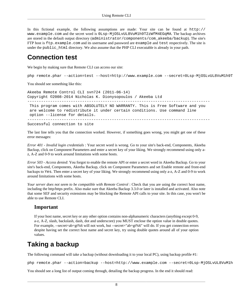In this fictional example, the following assumptions are made: Your site can be found at http:// www.example.com and the secret word is 0Lsp-MjOSLvUL8VuM1h9T2zWfM4EGqMA. The backup archives are stored in the default output directory (administrator/components/com\_akeeba/backup). The site's FTP host is ftp.example.com and its username and password are example and test respectively. The site is under the public\_html directory. We also assume that the PHP CLI executable is already in your path.

### **Connection test**

We begin by making sure that Remote CLI can access our site:

php remote.phar --action=test --host=http://www.example.com --secret=0Lsp-MjOSLvUL8VuM1h9T

You should see something like this:

```
Akeeba Remote Control CLI svn724 (2011-06-14)
Copyright ©2008-2014 Nicholas K. Dionysopoulos / Akeeba Ltd
--------------------------------------------------------------------------------
  This program comes with ABSOLUTELY NO WARRANTY. This is Free Software and you
  are welcome to redistribute it under certain conditions. Use command line
  option --license for details.
     --------------------------------------------------------------------------------
```
Successful connection to site

The last line tells you that the connection worked. However, if something goes wrong, you might get one of these error messages:

*Error 401 - Invalid login credentials* : Your secret word is wrong. Go to your site's back-end, Components, Akeeba Backup, click on Component Parameters and enter a secret key of your liking. We strongly recommend using only az, A-Z and 0-9 to work around limitations with some hosts.

*Error 503 - Access denied*: You forgot to enable the remote API or enter a secret word in Akeeba Backup. Go to your site's back-end, Components, Akeeba Backup, click on Component Parameters and set Enable remote and front-end backups to Yes. Then enter a secret key of your liking. We strongly recommend using only a-z, A-Z and 0-9 to work around limitations with some hosts.

*Your server does not seem to be compatible with Remote Control* : Check that you are using the correct host name, including the http/https prefix. Also make sure that Akeeba Backup 3.3.0 or later is installed and activated. Also note that some SEF and security extensions may be blocking the Remote API calls to your site. In this case, you won't be able to use Remote CLI.

#### **Important**

If your host name, secret key or any other option contains non-alphanumeric characters (anything except 0-9, a-z, A-Z, slash, backslash, dash, dot and underscore) you MUST enclose the option value in double quotes. For example, --secret=ab=gt%6 will not work, but --secret="ab=gt%6" will do. If you get connection errors despite having set the correct host name and secret key, try using double quotes around all of your option values.

### **Taking a backup**

The following command will take a backup (without downloading it to your local PC), using backup profile #1:

php remote.phar --action=backup --host=http://www.example.com --secret=0Lsp-MjOSLvUL8VuM1h

You should see a long list of output coming through, detailing the backup progress. In the end it should read: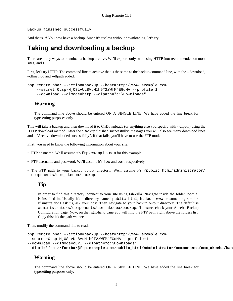Backup finished successfully

And that's it! You now have a backup. Since it's useless without downloading, let's try...

### **Taking and downloading a backup**

There are many ways to download a backup archive. We'll explore only two, using HTTP (not recommended on most sites) and FTP.

First, let's try HTTP. The command line to achieve that is the same as the backup command line, with the --download, --dlmethod and --dlpath added:

```
php remote.phar --action=backup --host=http://www.example.com 
    --secret=0Lsp-MjOSLvUL8VuM1h9T2zWfM4EGqMA --profile=1
     --download --dlmode=http --dlpath="c:\Downloads"
```
#### **Warning**

The command line above should be entered ON A SINGLE LINE. We have added the line break for typesetting purposes only.

This will take a backup and then download it to C:\Downloads (or anything else you specify with --dlpath) using the HTTP download method. After the "Backup finished successfully" messages you will also see many download lines and a "Archive downloaded successfully". If that fails, you'll have to use the FTP mode.

First, you need to know the following information about your site:

- FTP hostname. We'll assume it's  $ftp$ . example. com for this example
- FTP username and password. We'll assume it's foo and bar, respectively
- The FTP path to your backup output directory. We'll assume it's /public\_html/administrator/ components/com\_akeeba/backup.

#### **Tip**

In order to find this directory, connect to your site using FileZilla. Navigate inside the folder Joomla! is installed in. Usually it's a directory named public\_html, htdocs, www or something similar. If unsure don't ask us, ask your host. Then navigate to your backup output directory. The default is administrators/components/com\_akeeba/backup. If unsure, check your Akeeba Backup Configuration page. Now, on the right-hand pane you will find the FTP path, right above the folders list. Copy this; it's the path we need.

Then, modify the command line to read:

```
php remote.phar --action=backup --host=http://www.example.com
--secret=0Lsp-MjOSLvUL8VuM1h9T2zWfM4EGqMA --profile=1
--download --dlmode=curl --dlpath="c:\Downloads"
--dlurl="ftp://foo:bar@ftp.example.com/public_html/administrator/components/com_akeeba/bac
```
#### **Warning**

The command line above should be entered ON A SINGLE LINE. We have added the line break for typesetting purposes only.